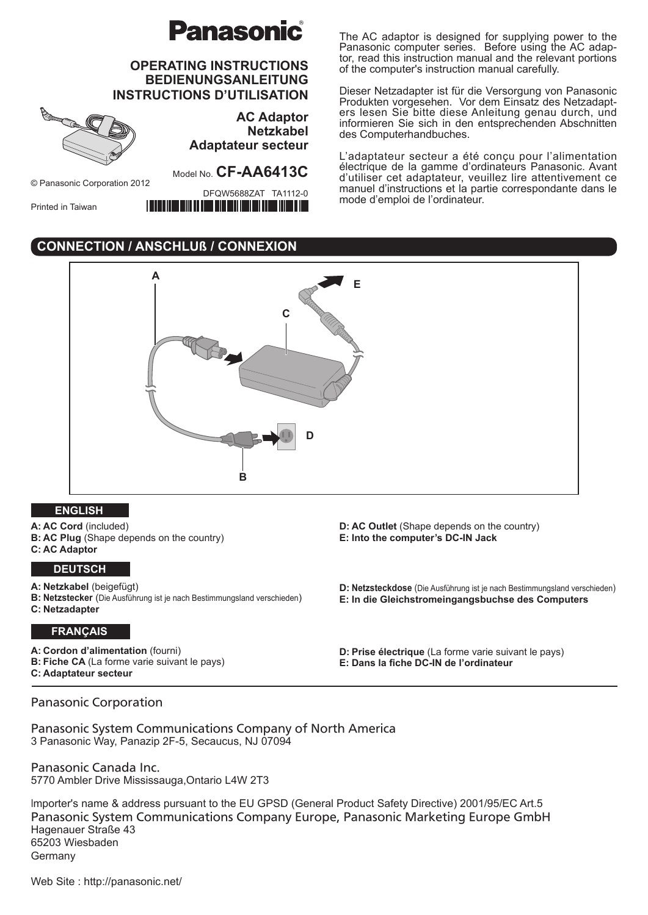# **Panasonic**

# **OPERATING INSTRUCTIONS BEDIENUNGSANLEITUNG INSTRUCTIONS D'UTILISATION**



**AC Adaptor Netzkabel Adaptateur secteur**

© Panasonic Corporation 2012

<u>TITTIIN INNI MIITTIIN T</u>

DFQW5688ZAT TA1112-0

Printed in Taiwan

Model No. **CF-AA6413C**

ill Till William Billia William

The AC adaptor is designed for supplying power to the Panasonic computer series. Before using the AC adaptor, read this instruction manual and the relevant portions of the computer's instruction manual carefully.

Dieser Netzadapter ist für die Versorgung von Panasonic Produkten vorgesehen. Vor dem Einsatz des Netzadapters lesen Sie bitte diese Anleitung genau durch, und informieren Sie sich in den entsprechenden Abschnitten des Computerhandbuches.

L'adaptateur secteur a été conçu pour l'alimentation électrique de la gamme d'ordinateurs Panasonic. Avant d'utiliser cet adaptateur, veuillez lire attentivement ce manuel d'instructions et la partie correspondante dans le mode d'emploi de l'ordinateur.

# **CONNECTION / ANSCHLUß / CONNEXION**



### **ENGLISH**

**A: AC Cord** (included) **B: AC Plug** (Shape depends on the country) **C: AC Adaptor**

### **DEUTSCH**

**A: Netzkabel** (beigefügt)

- **B: Netzstecker** (Die Ausführung ist je nach Bestimmungsland verschieden)
- **C: Netzadapter**

### **FRANÇAIS**

**A: Cordon d'alimentation** (fourni) **B: Fiche CA** (La forme varie suivant le pays) **C: Adaptateur secteur**

**D: AC Outlet** (Shape depends on the country) **E: Into the computer's DC-IN Jack**

**D: Netzsteckdose** (Die Ausführung ist je nach Bestimmungsland verschieden) **E: In die Gleichstromeingangsbuchse des Computers**

**D: Prise électrique** (La forme varie suivant le pays) **E: Dans la fiche DC-IN de l'ordinateur**

### Panasonic Corporation

Panasonic System Communications Company of North America 3 Panasonic Way, Panazip 2F-5, Secaucus, NJ 07094

Panasonic Canada Inc. 5770 Ambler Drive Mississauga,Ontario L4W 2T3

Importer's name & address pursuant to the EU GPSD (General Product Safety Directive) 2001/95/EC Art.5 Panasonic System Communications Company Europe, Panasonic Marketing Europe GmbH Hagenauer Straße 43 65203 Wiesbaden Germany

Web Site : http://panasonic.net/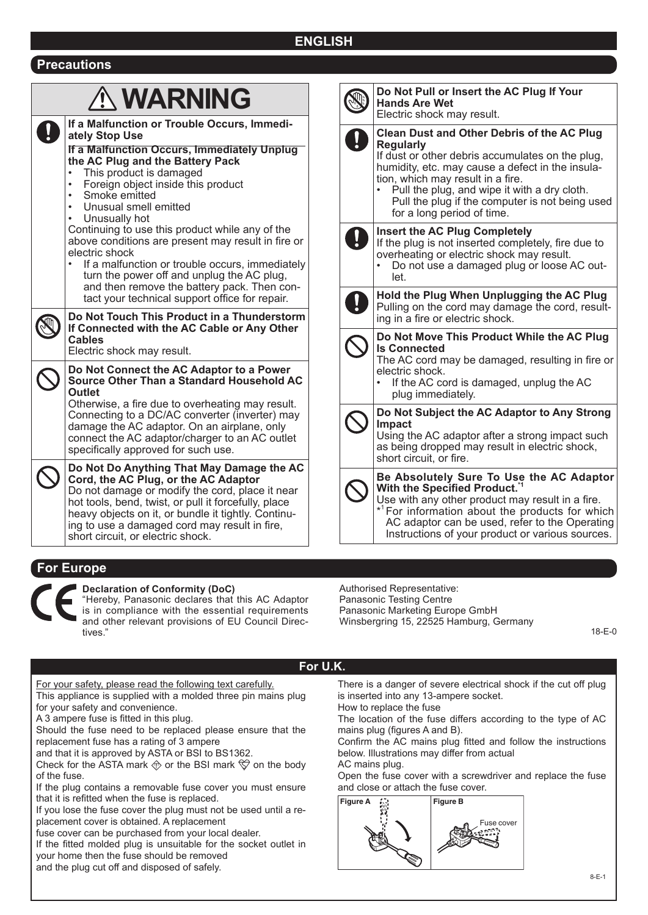# **ENGLISH**

### **Precautions**

### **WARNING If a Malfunction or Trouble Occurs, Immediately Stop Use If a Malfunction Occurs, Immediately Unplug the AC Plug and the Battery Pack** This product is damaged Foreign object inside this product Smoke emitted Unusual smell emitted Unusually hot Continuing to use this product while any of the above conditions are present may result in fire or electric shock If a malfunction or trouble occurs, immediately turn the power off and unplug the AC plug, and then remove the battery pack. Then contact your technical support office for repair. **Do Not Touch This Product in a Thunderstorm If Connected with the AC Cable or Any Other Cables** Electric shock may result. **Do Not Connect the AC Adaptor to a Power Source Other Than a Standard Household AC Outlet** Otherwise, a fire due to overheating may result. Connecting to a DC/AC converter (inverter) may damage the AC adaptor. On an airplane, only connect the AC adaptor/charger to an AC outlet specifically approved for such use. **Do Not Do Anything That May Damage the AC Cord, the AC Plug, or the AC Adaptor** Do not damage or modify the cord, place it near hot tools, bend, twist, or pull it forcefully, place heavy objects on it, or bundle it tightly. Continu-

| Do Not Pull or Insert the AC Plug If Your<br><b>Hands Are Wet</b><br>Electric shock may result.                                                                                                                                                                                                                                                     |
|-----------------------------------------------------------------------------------------------------------------------------------------------------------------------------------------------------------------------------------------------------------------------------------------------------------------------------------------------------|
| <b>Clean Dust and Other Debris of the AC Plug</b><br><b>Regularly</b><br>If dust or other debris accumulates on the plug,<br>humidity, etc. may cause a defect in the insula-<br>tion, which may result in a fire.<br>Pull the plug, and wipe it with a dry cloth.<br>Pull the plug if the computer is not being used<br>for a long period of time. |
| <b>Insert the AC Plug Completely</b><br>If the plug is not inserted completely, fire due to<br>overheating or electric shock may result.<br>Do not use a damaged plug or loose AC out-<br>let.                                                                                                                                                      |
| Hold the Plug When Unplugging the AC Plug<br>Pulling on the cord may damage the cord, result-<br>ing in a fire or electric shock.                                                                                                                                                                                                                   |
| Do Not Move This Product While the AC Plug<br><b>Is Connected</b><br>The AC cord may be damaged, resulting in fire or<br>electric shock.<br>If the AC cord is damaged, unplug the AC<br>plug immediately.                                                                                                                                           |
| Do Not Subject the AC Adaptor to Any Strong<br><b>Impact</b><br>Using the AC adaptor after a strong impact such<br>as being dropped may result in electric shock,<br>short circuit, or fire.                                                                                                                                                        |
| Be Absolutely Sure To Use the AC Adaptor<br>With the Specified Product."<br>Use with any other product may result in a fire.<br>* <sup>1</sup> For information about the products for which<br>AC adaptor can be used, refer to the Operating                                                                                                       |

# **For Europe**



### **Declaration of Conformity (DoC)**

short circuit, or electric shock.

ing to use a damaged cord may result in fire,

"Hereby, Panasonic declares that this AC Adaptor is in compliance with the essential requirements and other relevant provisions of EU Council Directives."

Authorised Representative: Panasonic Testing Centre Panasonic Marketing Europe GmbH Winsbergring 15, 22525 Hamburg, Germany

18-E-0

### **For U.K.**

For your safety, please read the following text carefully. This appliance is supplied with a molded three pin mains plug for your safety and convenience.

A 3 ampere fuse is fitted in this plug.

Should the fuse need to be replaced please ensure that the replacement fuse has a rating of 3 ampere

and that it is approved by ASTA or BSI to BS1362.

Check for the ASTA mark  $\circledast$  or the BSI mark  $\breve \heartsuit$  on the body of the fuse.

If the plug contains a removable fuse cover you must ensure that it is refitted when the fuse is replaced.

If you lose the fuse cover the plug must not be used until a replacement cover is obtained. A replacement

fuse cover can be purchased from your local dealer.

If the fitted molded plug is unsuitable for the socket outlet in your home then the fuse should be removed

and the plug cut off and disposed of safely.

There is a danger of severe electrical shock if the cut off plug is inserted into any 13-ampere socket. How to replace the fuse

Instructions of your product or various sources.

The location of the fuse differs according to the type of AC mains plug (figures A and B).

Confirm the AC mains plug fitted and follow the instructions below. Illustrations may differ from actual

AC mains plug.

Open the fuse cover with a screwdriver and replace the fuse and close or attach the fuse cover.

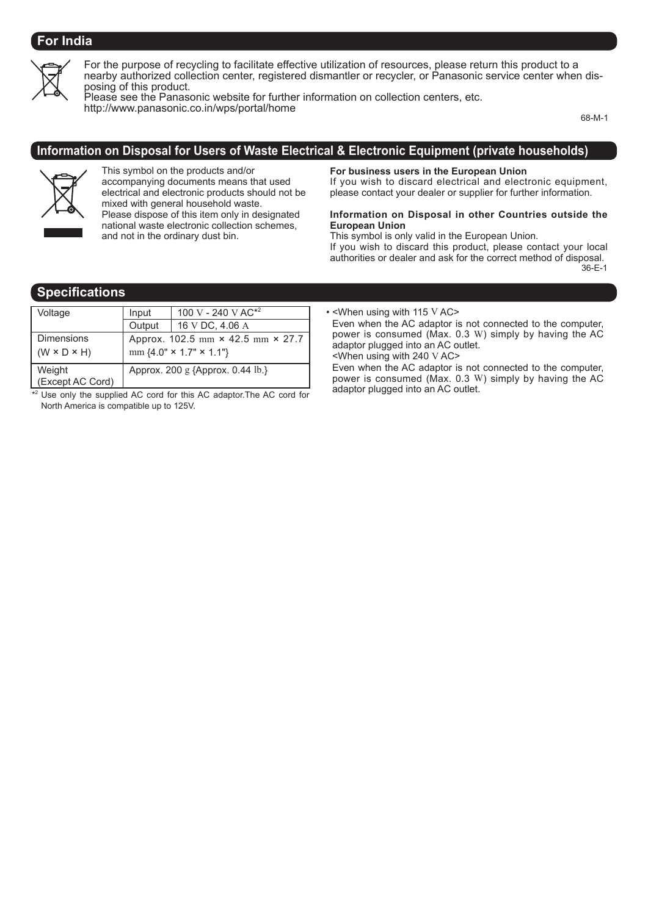# **For India**



For the purpose of recycling to facilitate effective utilization of resources, please return this product to a nearby authorized collection center, registered dismantler or recycler, or Panasonic service center when disposing of this product.

Please see the Panasonic website for further information on collection centers, etc. http://www.panasonic.co.in/wps/portal/home

68-M-1

### **Information on Disposal for Users of Waste Electrical & Electronic Equipment (private households)**



This symbol on the products and/or accompanying documents means that used electrical and electronic products should not be mixed with general household waste. Please dispose of this item only in designated national waste electronic collection schemes, and not in the ordinary dust bin.

**For business users in the European Union**

If you wish to discard electrical and electronic equipment, please contact your dealer or supplier for further information.

#### **Information on Disposal in other Countries outside the European Union**

This symbol is only valid in the European Union.

If you wish to discard this product, please contact your local authorities or dealer and ask for the correct method of disposal. 36-E-1

### **Specifications**

| Voltage                                      | Input                                                                    | 100 V - 240 V AC <sup><math>*</math>2</sup> |  |
|----------------------------------------------|--------------------------------------------------------------------------|---------------------------------------------|--|
|                                              | Output                                                                   | 16 V DC, 4.06 A                             |  |
| <b>Dimensions</b><br>$(W \times D \times H)$ | Approx. 102.5 mm × 42.5 mm × 27.7<br>mm ${4.0" \times 1.7" \times 1.1"}$ |                                             |  |
| Weight<br>(Except AC Cord)                   | Approx. 200 g {Approx. 0.44 lb.}                                         |                                             |  |

\*<sup>2</sup> Use only the supplied AC cord for this AC adaptor. The AC cord for North America is compatible up to 125V.

• <When using with 115 V AC>

Even when the AC adaptor is not connected to the computer, power is consumed (Max. 0.3 W) simply by having the AC adaptor plugged into an AC outlet. <When using with 240 V AC>

Even when the AC adaptor is not connected to the computer, power is consumed (Max. 0.3 W) simply by having the AC adaptor plugged into an AC outlet.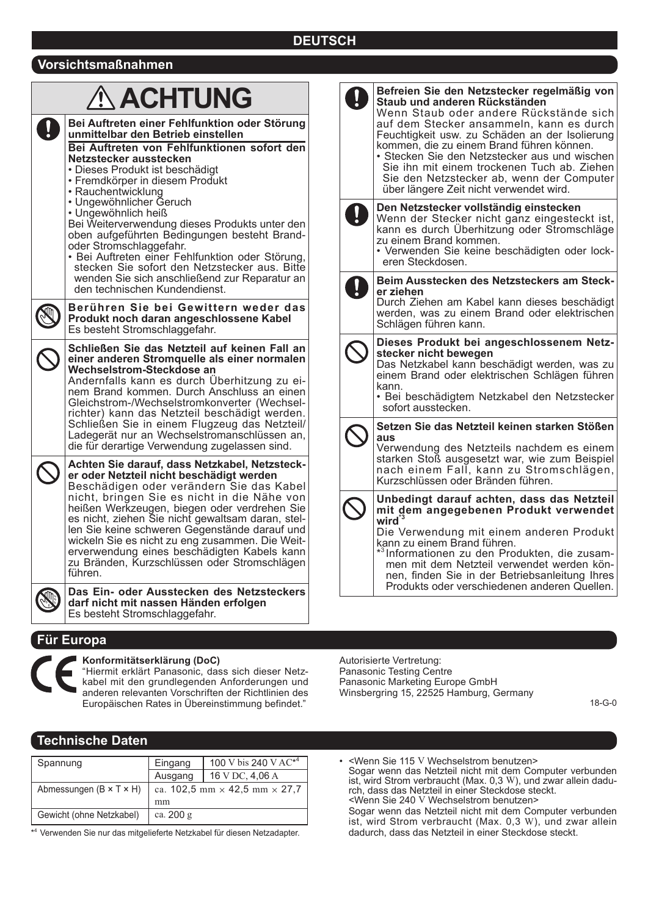# **DEUTSCH**

### **Vorsichtsmaßnahmen**

| <b>ACHTUNG</b><br>Bei Auftreten einer Fehlfunktion oder Störung<br>unmittelbar den Betrieb einstellen<br>Bei Auftreten von Fehlfunktionen sofort den<br>Netzstecker ausstecken<br>• Dieses Produkt ist beschädigt<br>• Fremdkörper in diesem Produkt<br>• Rauchentwicklung<br>• Ungewöhnlicher Geruch<br>• Ungewöhnlich heiß<br>Bei Weiterverwendung dieses Produkts unter den<br>oben aufgeführten Bedingungen besteht Brand-<br>oder Stromschlaggefahr.<br>• Bei Auftreten einer Fehlfunktion oder Störung,<br>stecken Sie sofort den Netzstecker aus. Bitte |                  | Befreien Sie den Netzstecker regelmäßig von<br>Staub und anderen Rückständen<br>Wenn Staub oder andere Rückstände sich<br>auf dem Stecker ansammeln, kann es durch<br>Feuchtigkeit usw. zu Schäden an der Isolierung<br>kommen, die zu einem Brand führen können.<br>• Stecken Sie den Netzstecker aus und wischen<br>Sie ihn mit einem trockenen Tuch ab. Ziehen<br>Sie den Netzstecker ab, wenn der Computer<br>über längere Zeit nicht verwendet wird. |
|----------------------------------------------------------------------------------------------------------------------------------------------------------------------------------------------------------------------------------------------------------------------------------------------------------------------------------------------------------------------------------------------------------------------------------------------------------------------------------------------------------------------------------------------------------------|------------------|-----------------------------------------------------------------------------------------------------------------------------------------------------------------------------------------------------------------------------------------------------------------------------------------------------------------------------------------------------------------------------------------------------------------------------------------------------------|
|                                                                                                                                                                                                                                                                                                                                                                                                                                                                                                                                                                | $\left  \right $ | Den Netzstecker vollständig einstecken<br>Wenn der Stecker nicht ganz eingesteckt ist,<br>kann es durch Überhitzung oder Stromschläge<br>zu einem Brand kommen.<br>• Verwenden Sie keine beschädigten oder lock-<br>eren Steckdosen.                                                                                                                                                                                                                      |
| wenden Sie sich anschließend zur Reparatur an<br>den technischen Kundendienst.<br>Berühren Sie bei Gewittern weder das<br>Produkt noch daran angeschlossene Kabel<br>Es besteht Stromschlaggefahr.                                                                                                                                                                                                                                                                                                                                                             |                  | Beim Ausstecken des Netzsteckers am Steck-<br>er ziehen<br>Durch Ziehen am Kabel kann dieses beschädigt<br>werden, was zu einem Brand oder elektrischen<br>Schlägen führen kann.                                                                                                                                                                                                                                                                          |
| Schließen Sie das Netzteil auf keinen Fall an<br>einer anderen Stromquelle als einer normalen<br>Wechselstrom-Steckdose an<br>Andernfalls kann es durch Überhitzung zu ei-<br>nem Brand kommen. Durch Anschluss an einen<br>Gleichstrom-/Wechselstromkonverter (Wechsel-<br>richter) kann das Netzteil beschädigt werden.                                                                                                                                                                                                                                      |                  | Dieses Produkt bei angeschlossenem Netz-<br>stecker nicht bewegen<br>Das Netzkabel kann beschädigt werden, was zu<br>einem Brand oder elektrischen Schlägen führen<br>kann.<br>· Bei beschädigtem Netzkabel den Netzstecker<br>sofort ausstecken.                                                                                                                                                                                                         |
| Schließen Sie in einem Flugzeug das Netzteil/<br>Ladegerät nur an Wechselstromanschlüssen an,<br>die für derartige Verwendung zugelassen sind.<br>Achten Sie darauf, dass Netzkabel, Netzsteck-<br>er oder Netzteil nicht beschädigt werden                                                                                                                                                                                                                                                                                                                    |                  | Setzen Sie das Netzteil keinen starken Stößen<br>aus<br>Verwendung des Netzteils nachdem es einem<br>starken Stoß ausgesetzt war, wie zum Beispiel<br>nach einem Fall, kann zu Stromschlägen,<br>Kurzschlüssen oder Bränden führen.                                                                                                                                                                                                                       |
| Beschädigen oder verändern Sie das Kabel<br>nicht, bringen Sie es nicht in die Nähe von<br>heißen Werkzeugen, biegen oder verdrehen Sie<br>es nicht, ziehen Sie nicht gewaltsam daran, stel-<br>len Sie keine schweren Gegenstände darauf und<br>wickeln Sie es nicht zu eng zusammen. Die Weit-<br>erverwendung eines beschädigten Kabels kann<br>zu Bränden, Kurzschlüssen oder Stromschlägen<br>führen.<br>Das Ein- oder Ausstecken des Netzsteckers                                                                                                        |                  | Unbedingt darauf achten, dass das Netzteil<br>mit dem angegebenen Produkt verwendet<br>wird $3$<br>Die Verwendung mit einem anderen Produkt<br>kann zu einem Brand führen.<br>* <sup>3</sup> Informationen zu den Produkten, die zusam-<br>men mit dem Netzteil verwendet werden kön-<br>nen, finden Sie in der Betriebsanleitung Ihres<br>Produkts oder verschiedenen anderen Quellen.                                                                   |
| darf nicht mit nassen Händen erfolgen<br>Es besteht Stromschlaggefahr.                                                                                                                                                                                                                                                                                                                                                                                                                                                                                         |                  |                                                                                                                                                                                                                                                                                                                                                                                                                                                           |

### **Für Europa**



### **Konformitätserklärung (DoC)**

"Hiermit erklärt Panasonic, dass sich dieser Netzkabel mit den grundlegenden Anforderungen und anderen relevanten Vorschriften der Richtlinien des Europäischen Rates in Übereinstimmung befindet."

Autorisierte Vertretung: Panasonic Testing Centre Panasonic Marketing Europe GmbH Winsbergring 15, 22525 Hamburg, Germany

18-G-0

### **Technische Daten**

| Spannung                              | Eingang                                     | 100 V bis 240 V AC <sup>*4</sup> |
|---------------------------------------|---------------------------------------------|----------------------------------|
|                                       | Ausgang                                     | 16 V DC, 4,06 A                  |
| Abmessungen ( $B \times T \times H$ ) | ca. 102,5 mm $\times$ 42,5 mm $\times$ 27,7 |                                  |
|                                       | mm                                          |                                  |
| Gewicht (ohne Netzkabel)              | ca. 200 g                                   |                                  |

\* <sup>4</sup> Verwenden Sie nur das mitgelieferte Netzkabel für diesen Netzadapter.

• <Wenn Sie 115 V Wechselstrom benutzen>

Sogar wenn das Netzteil nicht mit dem Computer verbunden ist, wird Strom verbraucht (Max. 0,3 W), und zwar allein dadurch, dass das Netzteil in einer Steckdose steckt. <Wenn Sie 240 V Wechselstrom benutzen>

Sogar wenn das Netzteil nicht mit dem Computer verbunden ist, wird Strom verbraucht (Max. 0,3 W), und zwar allein dadurch, dass das Netzteil in einer Steckdose steckt.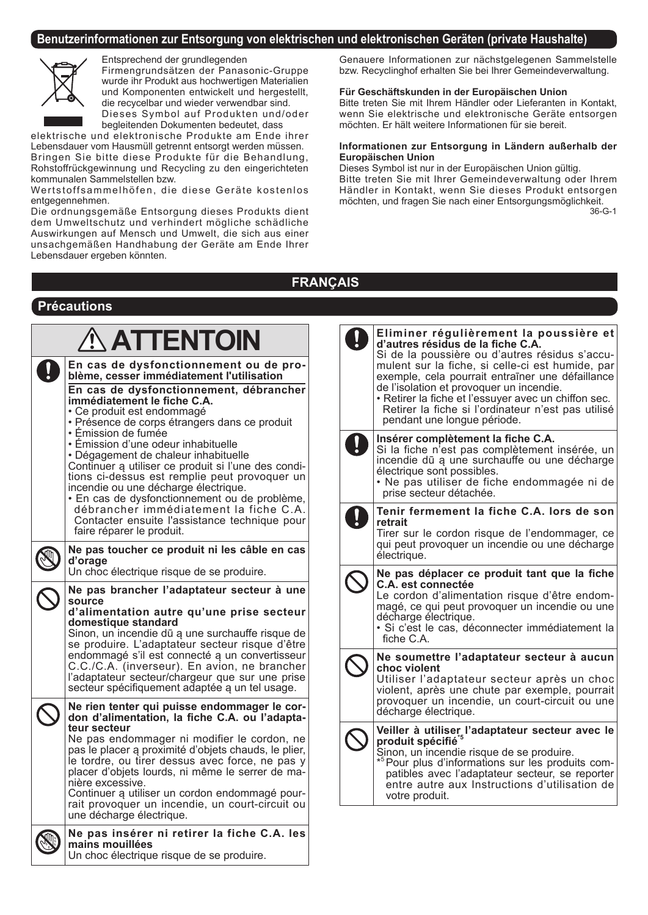### **Benutzerinformationen zur Entsorgung von elektrischen und elektronischen Geräten (private Haushalte)**



**Précautions**

Entsprechend der grundlegenden

Firmengrundsätzen der Panasonic-Gruppe wurde ihr Produkt aus hochwertigen Materialien und Komponenten entwickelt und hergestellt, die recycelbar und wieder verwendbar sind.

Dieses Symbol auf Produkten und/oder begleitenden Dokumenten bedeutet, dass

elektrische und elektronische Produkte am Ende ihrer Lebensdauer vom Hausmüll getrennt entsorgt werden müssen. Bringen Sie bitte diese Produkte für die Behandlung, Rohstoffrückgewinnung und Recycling zu den eingerichteten kommunalen Sammelstellen bzw.

Wertstoffsammelhöfen, die diese Geräte kostenlos entgegennehmen.

Die ordnungsgemäße Entsorgung dieses Produkts dient dem Umweltschutz und verhindert mögliche schädliche Auswirkungen auf Mensch und Umwelt, die sich aus einer unsachgemäßen Handhabung der Geräte am Ende Ihrer Lebensdauer ergeben könnten.

Un choc électrique risque de se produire.

Genauere Informationen zur nächstgelegenen Sammelstelle bzw. Recyclinghof erhalten Sie bei Ihrer Gemeindeverwaltung.

### **Für Geschäftskunden in der Europäischen Union**

Bitte treten Sie mit Ihrem Händler oder Lieferanten in Kontakt, wenn Sie elektrische und elektronische Geräte entsorgen möchten. Er hält weitere Informationen für sie bereit.

#### **Informationen zur Entsorgung in Ländern außerhalb der Europäischen Union**

Dieses Symbol ist nur in der Europäischen Union gültig. Bitte treten Sie mit Ihrer Gemeindeverwaltung oder Ihrem Händler in Kontakt, wenn Sie dieses Produkt entsorgen möchten, und fragen Sie nach einer Entsorgungsmöglichkeit. 36-G-1

# **FRANÇAIS**

| $\hat{\Lambda}$ ATTENTOIN<br>En cas de dysfonctionnement ou de pro-<br>blème, cesser immédiatement l'utilisation<br>En cas de dysfonctionnement, débrancher<br>immédiatement le fiche C.A.<br>• Ce produit est endommagé<br>· Présence de corps étrangers dans ce produit                                                                                                       | Eliminer régulièrement la poussière et<br>d'autres résidus de la fiche C.A.<br>Si de la poussière ou d'autres résidus s'accu-<br>mulent sur la fiche, si celle-ci est humide, par<br>exemple, cela pourrait entraïner une défaillance<br>de l'isolation et provoquer un incendie.<br>• Retirer la fiche et l'essuyer avec un chiffon sec.<br>Retirer la fiche si l'ordinateur n'est pas utilisé<br>pendant une longue période. |
|---------------------------------------------------------------------------------------------------------------------------------------------------------------------------------------------------------------------------------------------------------------------------------------------------------------------------------------------------------------------------------|--------------------------------------------------------------------------------------------------------------------------------------------------------------------------------------------------------------------------------------------------------------------------------------------------------------------------------------------------------------------------------------------------------------------------------|
| • Émission de fumée<br>• Émission d'une odeur inhabituelle<br>• Dégagement de chaleur inhabituelle<br>Continuer a utiliser ce produit si l'une des condi-<br>tions ci-dessus est remplie peut provoquer un<br>incendie ou une décharge électrique.<br>· En cas de dysfonctionnement ou de problème,                                                                             | Insérer complètement la fiche C.A.<br>Si la fiche n'est pas complètement insérée, un<br>incendie dū a une surchauffe ou une décharge<br>électrique sont possibles.<br>· Ne pas utiliser de fiche endommagée ni de<br>prise secteur détachée.                                                                                                                                                                                   |
| débrancher immédiatement la fiche C.A.                                                                                                                                                                                                                                                                                                                                          | Tenir fermement la fiche C.A. lors de son                                                                                                                                                                                                                                                                                                                                                                                      |
| Contacter ensuite l'assistance technique pour                                                                                                                                                                                                                                                                                                                                   | retrait                                                                                                                                                                                                                                                                                                                                                                                                                        |
| faire réparer le produit.                                                                                                                                                                                                                                                                                                                                                       | Tirer sur le cordon risque de l'endommager, ce                                                                                                                                                                                                                                                                                                                                                                                 |
| Ne pas toucher ce produit ni les câble en cas                                                                                                                                                                                                                                                                                                                                   | qui peut provoquer un incendie ou une décharge                                                                                                                                                                                                                                                                                                                                                                                 |
| d'orage                                                                                                                                                                                                                                                                                                                                                                         | électrique.                                                                                                                                                                                                                                                                                                                                                                                                                    |
| Un choc électrique risque de se produire.                                                                                                                                                                                                                                                                                                                                       | Ne pas déplacer ce produit tant que la fiche                                                                                                                                                                                                                                                                                                                                                                                   |
| Ne pas brancher l'adaptateur secteur à une                                                                                                                                                                                                                                                                                                                                      | C.A. est connectée                                                                                                                                                                                                                                                                                                                                                                                                             |
| source                                                                                                                                                                                                                                                                                                                                                                          | Le cordon d'alimentation risque d'être endom-                                                                                                                                                                                                                                                                                                                                                                                  |
| d'alimentation autre qu'une prise secteur                                                                                                                                                                                                                                                                                                                                       | magé, ce qui peut provoquer un incendie ou une                                                                                                                                                                                                                                                                                                                                                                                 |
| domestique standard                                                                                                                                                                                                                                                                                                                                                             | décharge électrique.                                                                                                                                                                                                                                                                                                                                                                                                           |
| Sinon, un incendie dū ą une surchauffe risque de                                                                                                                                                                                                                                                                                                                                | · Si c'est le cas, déconnecter immédiatement la                                                                                                                                                                                                                                                                                                                                                                                |
| se produire. L'adaptateur secteur risque d'être                                                                                                                                                                                                                                                                                                                                 | fiche C.A.                                                                                                                                                                                                                                                                                                                                                                                                                     |
| endommagé s'il est connecté a un convertisseur                                                                                                                                                                                                                                                                                                                                  | Ne soumettre l'adaptateur secteur à aucun                                                                                                                                                                                                                                                                                                                                                                                      |
| C.C./C.A. (inverseur). En avion, ne brancher                                                                                                                                                                                                                                                                                                                                    | choc violent                                                                                                                                                                                                                                                                                                                                                                                                                   |
| l'adaptateur secteur/chargeur que sur une prise                                                                                                                                                                                                                                                                                                                                 | Utiliser l'adaptateur secteur après un choc                                                                                                                                                                                                                                                                                                                                                                                    |
| secteur spécifiquement adaptée a un tel usage.                                                                                                                                                                                                                                                                                                                                  | violent, après une chute par exemple, pourrait                                                                                                                                                                                                                                                                                                                                                                                 |
| Ne rien tenter qui puisse endommager le cor-                                                                                                                                                                                                                                                                                                                                    | provoquer un incendie, un court-circuit ou une                                                                                                                                                                                                                                                                                                                                                                                 |
| don d'alimentation, la fiche C.A. ou l'adapta-                                                                                                                                                                                                                                                                                                                                  | décharge électrique.                                                                                                                                                                                                                                                                                                                                                                                                           |
| teur secteur<br>Ne pas endommager ni modifier le cordon, ne<br>pas le placer a proximité d'objets chauds, le plier,<br>le tordre, ou tirer dessus avec force, ne pas y<br>placer d'objets lourds, ni même le serrer de ma-<br>nière excessive.<br>Continuer a utiliser un cordon endommagé pour-<br>rait provoquer un incendie, un court-circuit ou<br>une décharge électrique. | Veiller à utiliser l'adaptateur secteur avec le<br>produit spécifié <sup>*5</sup><br>Sinon, un incendie risque de se produire.<br>* <sup>5</sup> Pour plus d'informations sur les produits com-<br>patibles avec l'adaptateur secteur, se reporter<br>entre autre aux Instructions d'utilisation de<br>votre produit.                                                                                                          |
| Ne pas insérer ni retirer la fiche C.A. les<br>mains mouillées                                                                                                                                                                                                                                                                                                                  |                                                                                                                                                                                                                                                                                                                                                                                                                                |